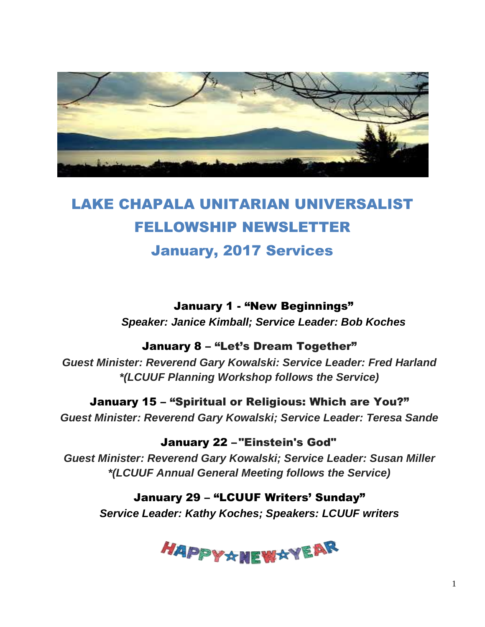

# LAKE CHAPALA UNITARIAN UNIVERSALIST FELLOWSHIP NEWSLETTER January, 2017 Services

January 1 - "New Beginnings" *Speaker: Janice Kimball; Service Leader: Bob Koches*

#### January 8 – "Let's Dream Together"

*Guest Minister: Reverend Gary Kowalski: Service Leader: Fred Harland \*(LCUUF Planning Workshop follows the Service)*

January 15 – "Spiritual or Religious: Which are You?" *Guest Minister: Reverend Gary Kowalski; Service Leader: Teresa Sande*

January 22 – "Einstein's God" *Guest Minister: Reverend Gary Kowalski; Service Leader: Susan Miller \*(LCUUF Annual General Meeting follows the Service)*

January 29 – "LCUUF Writers' Sunday" *Service Leader: Kathy Koches; Speakers: LCUUF writers*

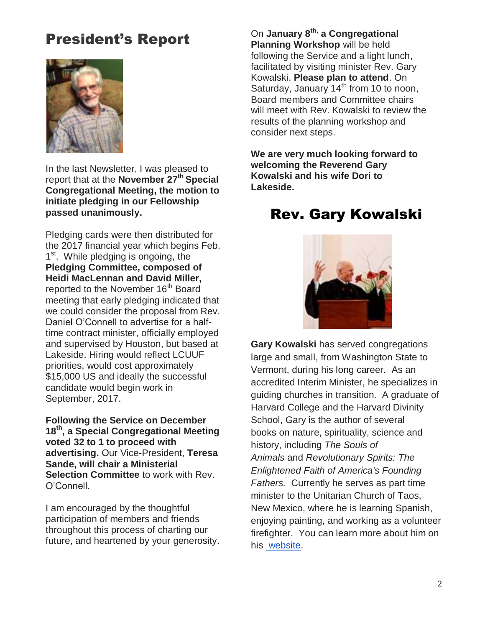# President's Report



In the last Newsletter, I was pleased to report that at the **November 27th Special Congregational Meeting, the motion to initiate pledging in our Fellowship passed unanimously.** 

Pledging cards were then distributed for the 2017 financial year which begins Feb. 1<sup>st</sup>. While pledging is ongoing, the **Pledging Committee, composed of Heidi MacLennan and David Miller,** reported to the November 16<sup>th</sup> Board meeting that early pledging indicated that we could consider the proposal from Rev. Daniel O'Connell to advertise for a halftime contract minister, officially employed and supervised by Houston, but based at Lakeside. Hiring would reflect LCUUF priorities, would cost approximately \$15,000 US and ideally the successful candidate would begin work in September, 2017.

**Following the Service on December 18th , a Special Congregational Meeting voted 32 to 1 to proceed with advertising.** Our Vice-President, **Teresa Sande, will chair a Ministerial Selection Committee** to work with Rev. O'Connell.

I am encouraged by the thoughtful participation of members and friends throughout this process of charting our future, and heartened by your generosity.

On **January 8th, a Congregational Planning Workshop** will be held following the Service and a light lunch, facilitated by visiting minister Rev. Gary Kowalski. **Please plan to attend**. On Saturday, January  $14<sup>th</sup>$  from 10 to noon, Board members and Committee chairs will meet with Rev. Kowalski to review the results of the planning workshop and consider next steps.

**We are very much looking forward to welcoming the Reverend Gary Kowalski and his wife Dori to Lakeside.**

## Rev. Gary Kowalski



**Gary Kowalski** has served congregations large and small, from Washington State to Vermont, during his long career. As an accredited Interim Minister, he specializes in guiding churches in transition. A graduate of Harvard College and the Harvard Divinity School, Gary is the author of several books on nature, spirituality, science and history, including *The Souls of Animals* and *Revolutionary Spirits: The Enlightened Faith of America's Founding Fathers.* Currently he serves as part time minister to the Unitarian Church of Taos, New Mexico, where he is learning Spanish, enjoying painting, and working as a volunteer firefighter. You can learn more about him on his [website.](http://reverendkowalski.blogspot.com/)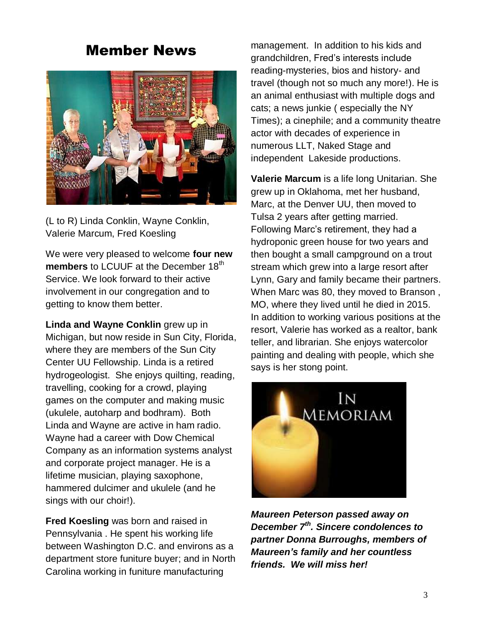### Member News



(L to R) Linda Conklin, Wayne Conklin, Valerie Marcum, Fred Koesling

We were very pleased to welcome **four new members** to LCUUF at the December 18<sup>th</sup> Service. We look forward to their active involvement in our congregation and to getting to know them better.

**Linda and Wayne Conklin** grew up in Michigan, but now reside in Sun City, Florida, where they are members of the Sun City Center UU Fellowship. Linda is a retired hydrogeologist. She enjoys quilting, reading, travelling, cooking for a crowd, playing games on the computer and making music (ukulele, autoharp and bodhram). Both Linda and Wayne are active in ham radio. Wayne had a career with Dow Chemical Company as an information systems analyst and corporate project manager. He is a lifetime musician, playing saxophone, hammered dulcimer and ukulele (and he sings with our choir!).

**Fred Koesling** was born and raised in Pennsylvania . He spent his working life between Washington D.C. and environs as a department store funiture buyer; and in North Carolina working in funiture manufacturing

management. In addition to his kids and grandchildren, Fred's interests include reading-mysteries, bios and history- and travel (though not so much any more!). He is an animal enthusiast with multiple dogs and cats; a news junkie ( especially the NY Times); a cinephile; and a community theatre actor with decades of experience in numerous LLT, Naked Stage and independent Lakeside productions.

**Valerie Marcum** is a life long Unitarian. She grew up in Oklahoma, met her husband, Marc, at the Denver UU, then moved to Tulsa 2 years after getting married. Following Marc's retirement, they had a hydroponic green house for two years and then bought a small campground on a trout stream which grew into a large resort after Lynn, Gary and family became their partners. When Marc was 80, they moved to Branson , MO, where they lived until he died in 2015. In addition to working various positions at the resort, Valerie has worked as a realtor, bank teller, and librarian. She enjoys watercolor painting and dealing with people, which she says is her stong point.



*Maureen Peterson passed away on December 7th . Sincere condolences to partner Donna Burroughs, members of Maureen's family and her countless friends. We will miss her!*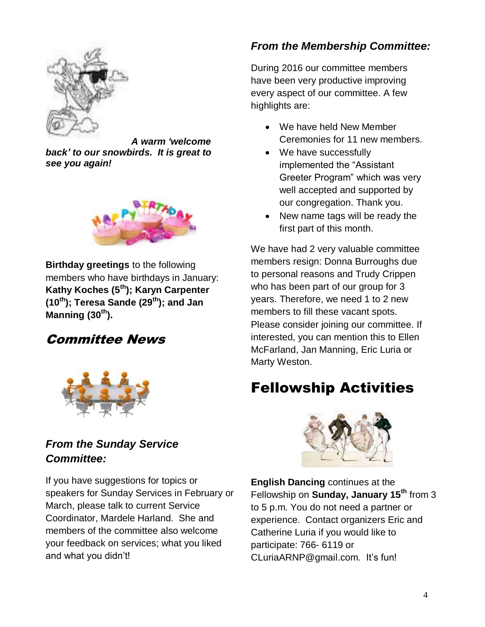

*A warm 'welcome back' to our snowbirds. It is great to see you again!*



**Birthday greetings** to the following members who have birthdays in January: **Kathy Koches (5th); Karyn Carpenter (10th); Teresa Sande (29th); and Jan Manning (30th).** 

### Committee News



#### *From the Sunday Service Committee:*

If you have suggestions for topics or speakers for Sunday Services in February or March, please talk to current Service Coordinator, Mardele Harland. She and members of the committee also welcome your feedback on services; what you liked and what you didn't!

#### *From the Membership Committee:*

During 2016 our committee members have been very productive improving every aspect of our committee. A few highlights are:

- We have held New Member Ceremonies for 11 new members.
- We have successfully implemented the "Assistant Greeter Program" which was very well accepted and supported by our congregation. Thank you.
- New name tags will be ready the first part of this month.

We have had 2 very valuable committee members resign: Donna Burroughs due to personal reasons and Trudy Crippen who has been part of our group for 3 years. Therefore, we need 1 to 2 new members to fill these vacant spots. Please consider joining our committee. If interested, you can mention this to Ellen McFarland, Jan Manning, Eric Luria or Marty Weston.

# Fellowship Activities



**English Dancing** continues at the Fellowship on **Sunday, January 15th** from 3 to 5 p.m. You do not need a partner or experience. Contact organizers Eric and Catherine Luria if you would like to participate: 766- 6119 or CLuriaARNP@gmail.com. It's fun!